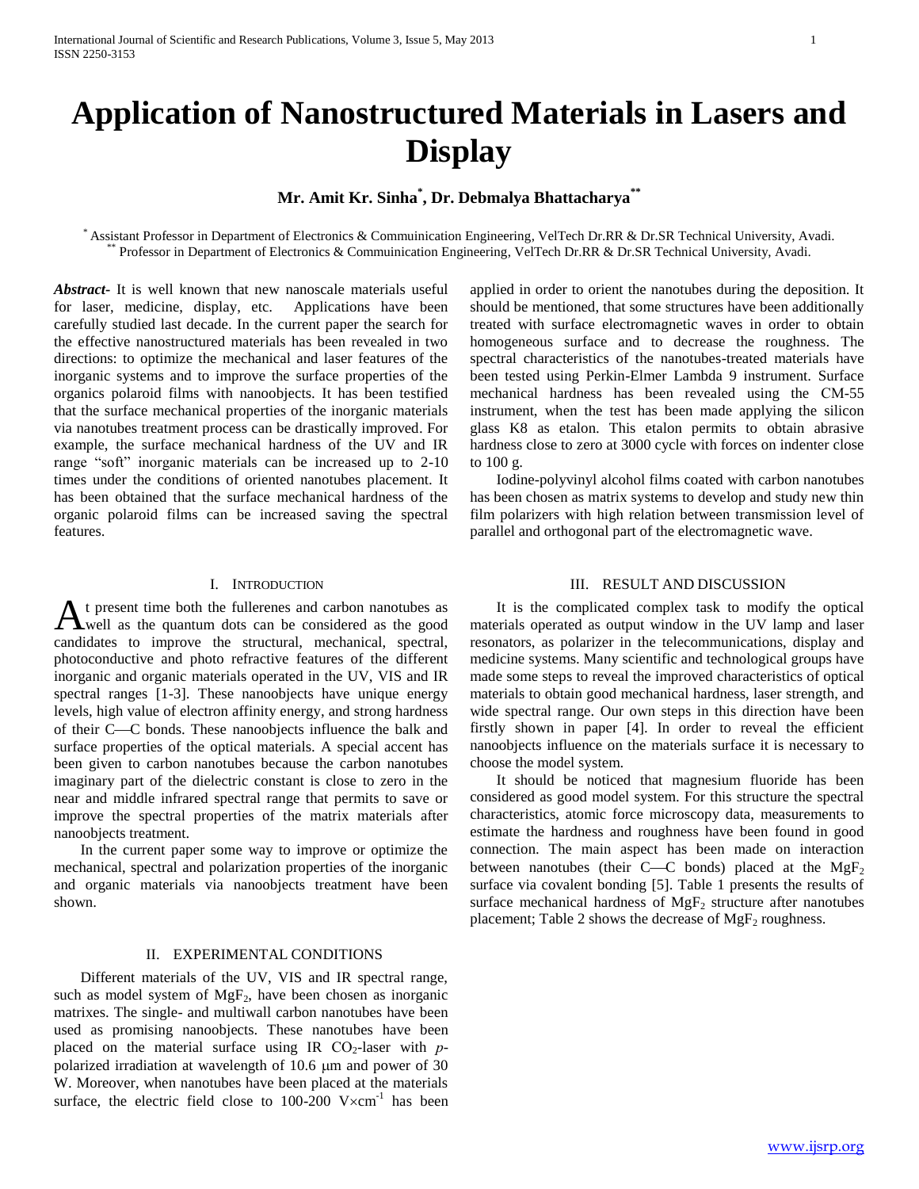# **Application of Nanostructured Materials in Lasers and Display**

## **Mr. Amit Kr. Sinha\* , Dr. Debmalya Bhattacharya\*\***

\* Assistant Professor in Department of Electronics & Commuinication Engineering, VelTech Dr.RR & Dr.SR Technical University, Avadi. Professor in Department of Electronics & Commuinication Engineering, VelTech Dr.RR & Dr.SR Technical University, Avadi.

*Abstract***-** It is well known that new nanoscale materials useful for laser, medicine, display, etc. Applications have been carefully studied last decade. In the current paper the search for the effective nanostructured materials has been revealed in two directions: to optimize the mechanical and laser features of the inorganic systems and to improve the surface properties of the organics polaroid films with nanoobjects. It has been testified that the surface mechanical properties of the inorganic materials via nanotubes treatment process can be drastically improved. For example, the surface mechanical hardness of the UV and IR range "soft" inorganic materials can be increased up to 2-10 times under the conditions of oriented nanotubes placement. It has been obtained that the surface mechanical hardness of the organic polaroid films can be increased saving the spectral features.

## I. INTRODUCTION

t present time both the fullerenes and carbon nanotubes as At present time both the fullerenes and carbon nanotubes as well as the quantum dots can be considered as the good candidates to improve the structural, mechanical, spectral, photoconductive and photo refractive features of the different inorganic and organic materials operated in the UV, VIS and IR spectral ranges [1-3]. These nanoobjects have unique energy levels, high value of electron affinity energy, and strong hardness of their C—C bonds. These nanoobjects influence the balk and surface properties of the optical materials. A special accent has been given to carbon nanotubes because the carbon nanotubes imaginary part of the dielectric constant is close to zero in the near and middle infrared spectral range that permits to save or improve the spectral properties of the matrix materials after nanoobjects treatment.

 In the current paper some way to improve or optimize the mechanical, spectral and polarization properties of the inorganic and organic materials via nanoobjects treatment have been shown.

### II. EXPERIMENTAL CONDITIONS

 Different materials of the UV, VIS and IR spectral range, such as model system of  $MgF_2$ , have been chosen as inorganic matrixes. The single- and multiwall carbon nanotubes have been used as promising nanoobjects. These nanotubes have been placed on the material surface using IR CO<sub>2</sub>-laser with *p*polarized irradiation at wavelength of  $10.6 \mu m$  and power of  $30 \mu m$ W. Moreover, when nanotubes have been placed at the materials surface, the electric field close to 100-200  $V \times \text{cm}^{-1}$  has been

applied in order to orient the nanotubes during the deposition. It should be mentioned, that some structures have been additionally treated with surface electromagnetic waves in order to obtain homogeneous surface and to decrease the roughness. The spectral characteristics of the nanotubes-treated materials have been tested using Perkin-Elmer Lambda 9 instrument. Surface mechanical hardness has been revealed using the СМ-55 instrument, when the test has been made applying the silicon glass K8 as etalon. This etalon permits to obtain abrasive hardness close to zero at 3000 cycle with forces on indenter close to 100 g.

 Iodine-polyvinyl alcohol films coated with carbon nanotubes has been chosen as matrix systems to develop and study new thin film polarizers with high relation between transmission level of parallel and orthogonal part of the electromagnetic wave.

## III. RESULT AND DISCUSSION

 It is the complicated complex task to modify the optical materials operated as output window in the UV lamp and laser resonators, as polarizer in the telecommunications, display and medicine systems. Many scientific and technological groups have made some steps to reveal the improved characteristics of optical materials to obtain good mechanical hardness, laser strength, and wide spectral range. Our own steps in this direction have been firstly shown in paper [4]. In order to reveal the efficient nanoobjects influence on the materials surface it is necessary to choose the model system.

 It should be noticed that magnesium fluoride has been considered as good model system. For this structure the spectral characteristics, atomic force microscopy data, measurements to estimate the hardness and roughness have been found in good connection. The main aspect has been made on interaction between nanotubes (their C—C bonds) placed at the  $MgF<sub>2</sub>$ surface via covalent bonding [5]. Table 1 presents the results of surface mechanical hardness of  $MgF_2$  structure after nanotubes placement; Table 2 shows the decrease of  $MgF<sub>2</sub>$  roughness.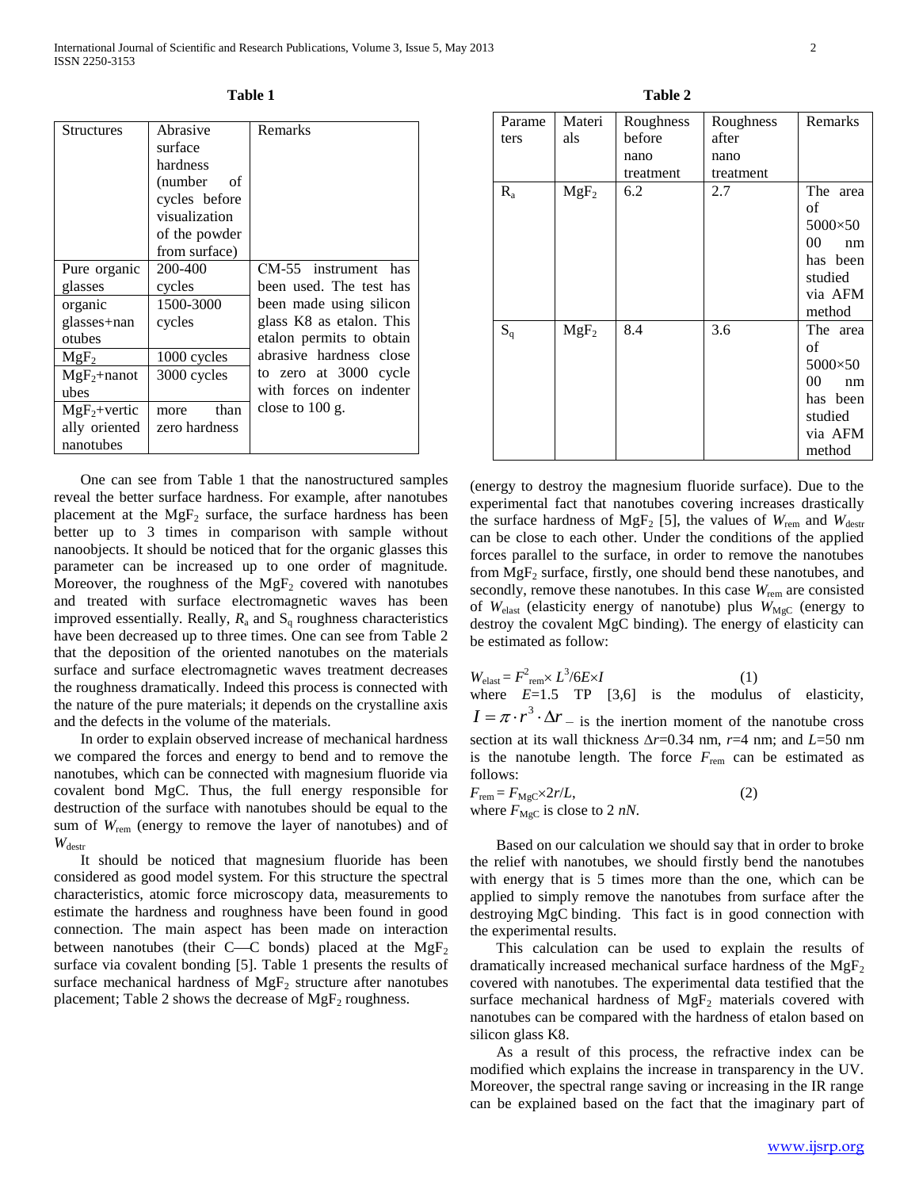| n<br>I<br>л<br>٠<br>۰. |  |
|------------------------|--|
|------------------------|--|

| <b>Structures</b> | Abrasive      | Remarks                  |  |  |
|-------------------|---------------|--------------------------|--|--|
|                   | surface       |                          |  |  |
|                   | hardness      |                          |  |  |
|                   | (number of    |                          |  |  |
|                   | cycles before |                          |  |  |
|                   | visualization |                          |  |  |
|                   | of the powder |                          |  |  |
|                   | from surface) |                          |  |  |
| Pure organic      | 200-400       | CM-55 instrument has     |  |  |
| glasses           | cycles        | been used. The test has  |  |  |
| organic           | 1500-3000     | been made using silicon  |  |  |
| glasses+nan       | cycles        | glass K8 as etalon. This |  |  |
| otubes            |               | etalon permits to obtain |  |  |
| $MgF_2$           | 1000 cycles   | abrasive hardness close  |  |  |
| $MgF_2+nanot$     | 3000 cycles   | to zero at 3000 cycle    |  |  |
| ubes              |               | with forces on indenter  |  |  |
| $MgF_2$ +vertic   | than<br>more  | close to $100$ g.        |  |  |
| ally oriented     | zero hardness |                          |  |  |
| nanotubes         |               |                          |  |  |

 One can see from Table 1 that the nanostructured samples reveal the better surface hardness. For example, after nanotubes placement at the  $MgF_2$  surface, the surface hardness has been better up to 3 times in comparison with sample without nanoobjects. It should be noticed that for the organic glasses this parameter can be increased up to one order of magnitude. Moreover, the roughness of the  $MgF_2$  covered with nanotubes and treated with surface electromagnetic waves has been improved essentially. Really,  $R_a$  and  $S_q$  roughness characteristics have been decreased up to three times. One can see from Table 2 that the deposition of the oriented nanotubes on the materials surface and surface electromagnetic waves treatment decreases the roughness dramatically. Indeed this process is connected with the nature of the pure materials; it depends on the crystalline axis and the defects in the volume of the materials.

 In order to explain observed increase of mechanical hardness we compared the forces and energy to bend and to remove the nanotubes, which can be connected with magnesium fluoride via covalent bond MgC. Thus, the full energy responsible for destruction of the surface with nanotubes should be equal to the sum of  $W_{\text{rem}}$  (energy to remove the layer of nanotubes) and of  $W_{\text{destr}}$ 

 It should be noticed that magnesium fluoride has been considered as good model system. For this structure the spectral characteristics, atomic force microscopy data, measurements to estimate the hardness and roughness have been found in good connection. The main aspect has been made on interaction between nanotubes (their C—C bonds) placed at the  $MgF_2$ surface via covalent bonding [5]. Table 1 presents the results of surface mechanical hardness of  $MgF_2$  structure after nanotubes placement; Table 2 shows the decrease of  $MgF_2$  roughness.

| וחו<br>я |  |
|----------|--|
|----------|--|

| Parame  | Materi  | Roughness | Roughness | Remarks  |
|---------|---------|-----------|-----------|----------|
| ters    | als     | before    | after     |          |
|         |         | nano      | nano      |          |
|         |         | treatment | treatment |          |
| $R_{a}$ | $MgF_2$ | 6.2       | 2.7       | The area |
|         |         |           |           | οf       |
|         |         |           |           | 5000×50  |
|         |         |           |           | 00<br>nm |
|         |         |           |           | has been |
|         |         |           |           | studied  |
|         |         |           |           | via AFM  |
|         |         |           |           | method   |
| $S_q$   | $MgF_2$ | 8.4       | 3.6       | The area |
|         |         |           |           | οf       |
|         |         |           |           | 5000×50  |
|         |         |           |           | 00<br>nm |
|         |         |           |           | has been |
|         |         |           |           | studied  |
|         |         |           |           | via AFM  |
|         |         |           |           | method   |

(energy to destroy the magnesium fluoride surface). Due to the experimental fact that nanotubes covering increases drastically the surface hardness of MgF<sub>2</sub> [5], the values of  $W_{\text{rem}}$  and  $W_{\text{destr}}$ can be close to each other. Under the conditions of the applied forces parallel to the surface, in order to remove the nanotubes from  $MgF_2$  surface, firstly, one should bend these nanotubes, and secondly, remove these nanotubes. In this case  $W_{\text{rem}}$  are consisted of *W*<sub>elast</sub> (elasticity energy of nanotube) plus *W*<sub>MgC</sub> (energy to destroy the covalent MgC binding). The energy of elasticity can be estimated as follow:

 $W_{\text{elast}} = F^2_{\text{rem}} \times L^3 / 6E \times I$  (1) where  $E=1.5$  TP  $[3,6]$  is the modulus of elasticity,  $I = \pi \cdot r^3 \cdot \Delta r$  is the inertion moment of the nanotube cross section at its wall thickness  $\Delta r$ =0.34 nm,  $r$ =4 nm; and *L*=50 nm is the nanotube length. The force  $F_{\text{rem}}$  can be estimated as follows:

$$
F_{\text{rem}} = F_{\text{MgC}} \times 2r/L,
$$
  
where  $F_{\text{MgC}}$  is close to 2 *nN*. (2)

 Based on our calculation we should say that in order to broke the relief with nanotubes, we should firstly bend the nanotubes with energy that is 5 times more than the one, which can be applied to simply remove the nanotubes from surface after the destroying MgC binding. This fact is in good connection with the experimental results.

 This calculation can be used to explain the results of dramatically increased mechanical surface hardness of the  $MgF_2$ covered with nanotubes. The experimental data testified that the surface mechanical hardness of  $MgF_2$  materials covered with nanotubes can be compared with the hardness of etalon based on silicon glass K8.

 As a result of this process, the refractive index can be modified which explains the increase in transparency in the UV. Moreover, the spectral range saving or increasing in the IR range can be explained based on the fact that the imaginary part of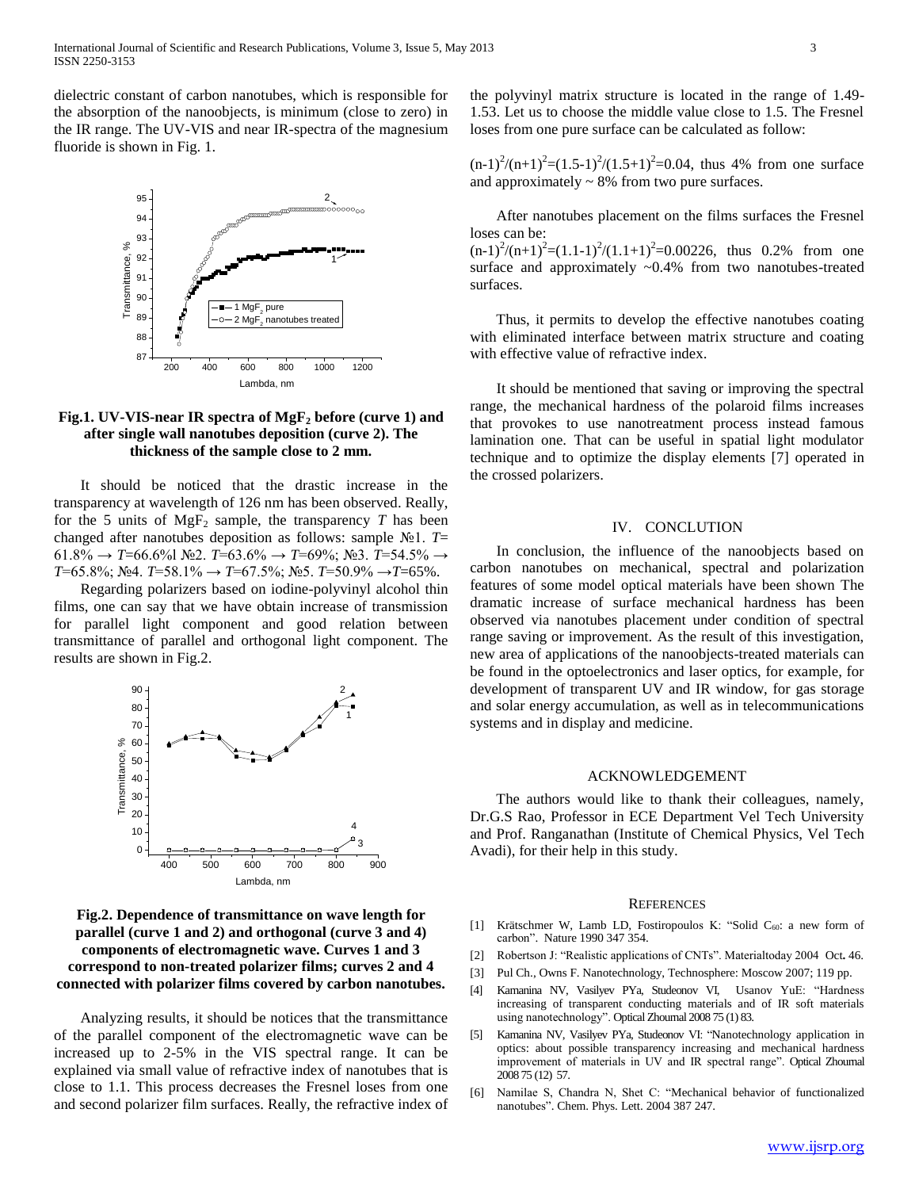dielectric constant of carbon nanotubes, which is responsible for the absorption of the nanoobjects, is minimum (close to zero) in the IR range. The UV-VIS and near IR-spectra of the magnesium fluoride is shown in Fig. 1.



## **Fig.1. UV-VIS-near IR spectra of MgF<sup>2</sup> before (curve 1) and after single wall nanotubes deposition (curve 2). The thickness of the sample close to 2 mm.**

 It should be noticed that the drastic increase in the transparency at wavelength of 126 nm has been observed. Really, for the 5 units of  $MgF_2$  sample, the transparency  $T$  has been changed after nanotubes deposition as follows: sample №1. *T*= 61.8% → *T*=66.6%l №2. *T*=63.6% → *T*=69%; №3. *T*=54.5% → *T*=65.8%; №4. *T*=58.1% → *T*=67.5%; №5. *T*=50.9% →*T*=65%.

 Regarding polarizers based on iodine-polyvinyl alcohol thin films, one can say that we have obtain increase of transmission for parallel light component and good relation between transmittance of parallel and orthogonal light component. The results are shown in Fig.2.



## **Fig.2. Dependence of transmittance on wave length for parallel (curve 1 and 2) and orthogonal (curve 3 and 4) components of electromagnetic wave. Curves 1 and 3 correspond to non-treated polarizer films; curves 2 and 4 connected with polarizer films covered by carbon nanotubes.**

 Analyzing results, it should be notices that the transmittance of the parallel component of the electromagnetic wave can be increased up to 2-5% in the VIS spectral range. It can be explained via small value of refractive index of nanotubes that is close to 1.1. This process decreases the Fresnel loses from one and second polarizer film surfaces. Really, the refractive index of the polyvinyl matrix structure is located in the range of 1.49- 1.53. Let us to choose the middle value close to 1.5. The Fresnel loses from one pure surface can be calculated as follow:

 $(n-1)^{2}/(n+1)^{2} = (1.5-1)^{2}/(1.5+1)^{2} = 0.04$ , thus 4% from one surface and approximately  $\sim 8\%$  from two pure surfaces.

 After nanotubes placement on the films surfaces the Fresnel loses can be:

 $(n-1)^{2}/(n+1)^{2} = (1.1-1)^{2}/(1.1+1)^{2} = 0.00226$ , thus 0.2% from one surface and approximately ~0.4% from two nanotubes-treated surfaces.

 Thus, it permits to develop the effective nanotubes coating with eliminated interface between matrix structure and coating with effective value of refractive index.

 It should be mentioned that saving or improving the spectral range, the mechanical hardness of the polaroid films increases that provokes to use nanotreatment process instead famous lamination one. That can be useful in spatial light modulator technique and to optimize the display elements [7] operated in the crossed polarizers.

## IV. CONCLUTION

 In conclusion, the influence of the nanoobjects based on carbon nanotubes on mechanical, spectral and polarization features of some model optical materials have been shown The dramatic increase of surface mechanical hardness has been observed via nanotubes placement under condition of spectral range saving or improvement. As the result of this investigation, new area of applications of the nanoobjects-treated materials can be found in the optoelectronics and laser optics, for example, for development of transparent UV and IR window, for gas storage and solar energy accumulation, as well as in telecommunications systems and in display and medicine.

## ACKNOWLEDGEMENT

 The authors would like to thank their colleagues, namely, Dr.G.S Rao, Professor in ECE Department Vel Tech University and Prof. Ranganathan (Institute of Chemical Physics, Vel Tech Avadi), for their help in this study.

#### **REFERENCES**

- [1] Krätschmer W, Lamb LD, Fostiropoulos K: "Solid C<sub>60</sub>: a new form of carbon". Nature 1990 347 354.
- [2] Robertson J: "Realistic applications of CNTs". Materialtoday 2004 Oct**.** 46.
- [3] Pul Ch., Owns F. Nanotechnology, Technosphere: Moscow 2007; 119 pp.
- [4] Kamanina NV, Vasilyev PYa, Studeonov VI, Usanov YuE: "Hardness increasing of transparent conducting materials and of IR soft materials using nanotechnology". Optical Zhournal 2008 75 (1) 83.
- [5] Kamanina NV, Vasilyev PYa, Studeonov VI: "Nanotechnology application in optics: about possible transparency increasing and mechanical hardness improvement of materials in UV and IR spectral range". Optical Zhournal 2008 75 (12) 57.
- [6] Namilae S, Chandra N, Shet C: "Mechanical behavior of functionalized nanotubes". Chem. Phys. Lett. 2004 387 247.